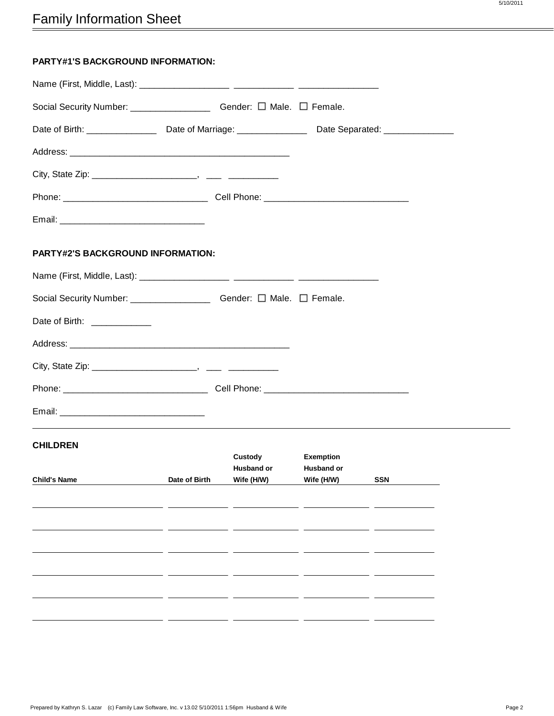| <b>PARTY#1'S BACKGROUND INFORMATION:</b>                                                                      |               |                                                    |                                              |     |
|---------------------------------------------------------------------------------------------------------------|---------------|----------------------------------------------------|----------------------------------------------|-----|
|                                                                                                               |               |                                                    |                                              |     |
|                                                                                                               |               |                                                    |                                              |     |
| Date of Birth: ______________________Date of Marriage: ______________________Date Separated: ________________ |               |                                                    |                                              |     |
|                                                                                                               |               |                                                    |                                              |     |
|                                                                                                               |               |                                                    |                                              |     |
|                                                                                                               |               |                                                    |                                              |     |
|                                                                                                               |               |                                                    |                                              |     |
| <b>PARTY#2'S BACKGROUND INFORMATION:</b>                                                                      |               |                                                    |                                              |     |
|                                                                                                               |               |                                                    |                                              |     |
|                                                                                                               |               |                                                    |                                              |     |
| Date of Birth: ______________                                                                                 |               |                                                    |                                              |     |
|                                                                                                               |               |                                                    |                                              |     |
|                                                                                                               |               |                                                    |                                              |     |
|                                                                                                               |               |                                                    |                                              |     |
|                                                                                                               |               |                                                    |                                              |     |
| <b>CHILDREN</b>                                                                                               |               |                                                    |                                              |     |
| <b>Child's Name</b>                                                                                           | Date of Birth | <b>Custody Custody</b><br>Husband or<br>Wife (H/W) | <b>Exemption</b><br>Husband or<br>Wife (H/W) | SSN |
|                                                                                                               |               |                                                    |                                              |     |
|                                                                                                               |               |                                                    |                                              |     |
|                                                                                                               |               |                                                    |                                              |     |
|                                                                                                               |               |                                                    |                                              |     |
|                                                                                                               |               |                                                    |                                              |     |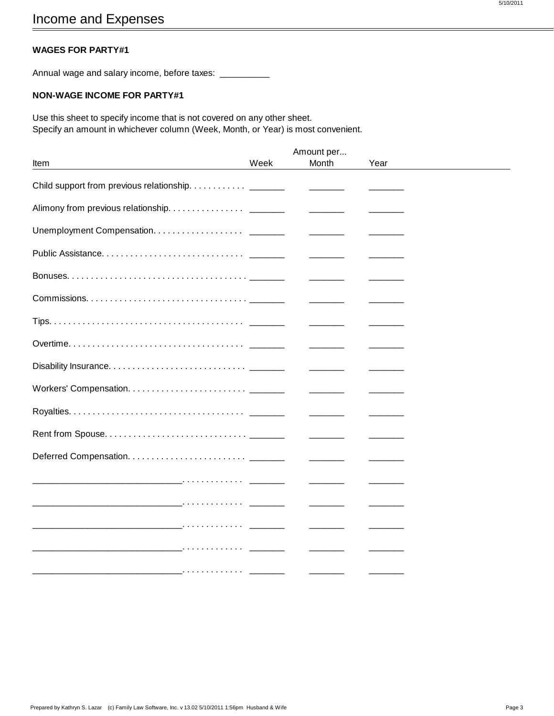#### **WAGES FOR PARTY#1**

Annual wage and salary income, before taxes: \_

#### **NON-WAGE INCOME FOR PARTY#1**

Use this sheet to specify income that is not covered on any other sheet. Specify an amount in whichever column (Week, Month, or Year) is most convenient.

|                                                                                                                  |      | Amount per |      |  |
|------------------------------------------------------------------------------------------------------------------|------|------------|------|--|
| Item                                                                                                             | Week | Month      | Year |  |
| Child support from previous relationship. ________                                                               |      |            |      |  |
| Alimony from previous relationship. ________                                                                     |      |            |      |  |
|                                                                                                                  |      |            |      |  |
|                                                                                                                  |      |            |      |  |
|                                                                                                                  |      |            |      |  |
|                                                                                                                  |      |            |      |  |
|                                                                                                                  |      |            |      |  |
|                                                                                                                  |      |            |      |  |
|                                                                                                                  |      |            |      |  |
|                                                                                                                  |      |            |      |  |
|                                                                                                                  |      |            |      |  |
|                                                                                                                  |      |            |      |  |
|                                                                                                                  |      |            |      |  |
|                                                                                                                  |      |            |      |  |
| the contract of the contract of the contract and a series of the contract of the contract of the contract of the |      |            |      |  |
|                                                                                                                  |      |            |      |  |
| the contract of the contract of the contract and a series of                                                     |      |            |      |  |
| <u> 1986 - Johann Johnson, fransk kampens</u>                                                                    |      |            |      |  |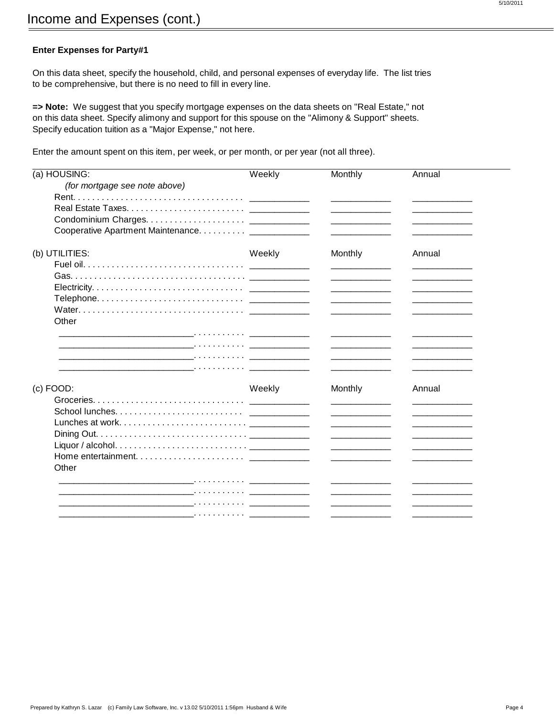On this data sheet, specify the household, child, and personal expenses of everyday life. The list tries to be comprehensive, but there is no need to fill in every line.

**=> Note:** We suggest that you specify mortgage expenses on the data sheets on "Real Estate," not on this data sheet. Specify alimony and support for this spouse on the "Alimony & Support" sheets. Specify education tuition as a "Major Expense," not here.

Enter the amount spent on this item, per week, or per month, or per year (not all three).

| (a) HOUSING:                                                                                                                                                                                                                   | Weekly | Monthly | Annual |
|--------------------------------------------------------------------------------------------------------------------------------------------------------------------------------------------------------------------------------|--------|---------|--------|
| (for mortgage see note above)                                                                                                                                                                                                  |        |         |        |
|                                                                                                                                                                                                                                |        |         |        |
|                                                                                                                                                                                                                                |        |         |        |
|                                                                                                                                                                                                                                |        |         |        |
| Cooperative Apartment Maintenance. _______________                                                                                                                                                                             |        |         |        |
| (b) UTILITIES:                                                                                                                                                                                                                 | Weekly | Monthly | Annual |
|                                                                                                                                                                                                                                |        |         |        |
|                                                                                                                                                                                                                                |        |         |        |
|                                                                                                                                                                                                                                |        |         |        |
|                                                                                                                                                                                                                                |        |         |        |
|                                                                                                                                                                                                                                |        |         |        |
| Other                                                                                                                                                                                                                          |        |         |        |
|                                                                                                                                                                                                                                |        |         |        |
|                                                                                                                                                                                                                                |        |         |        |
| the contract of the contract of the con-                                                                                                                                                                                       |        |         |        |
|                                                                                                                                                                                                                                |        |         |        |
| (c) FOOD:                                                                                                                                                                                                                      | Weekly | Monthly | Annual |
|                                                                                                                                                                                                                                |        |         |        |
|                                                                                                                                                                                                                                |        |         |        |
|                                                                                                                                                                                                                                |        |         |        |
|                                                                                                                                                                                                                                |        |         |        |
|                                                                                                                                                                                                                                |        |         |        |
|                                                                                                                                                                                                                                |        |         |        |
| Other                                                                                                                                                                                                                          |        |         |        |
|                                                                                                                                                                                                                                |        |         |        |
|                                                                                                                                                                                                                                |        |         |        |
| the contract of the contract of the contract of the contract of the contract of the contract of the contract of the contract of the contract of the contract of the contract of the contract of the contract of the contract o |        |         |        |
|                                                                                                                                                                                                                                |        |         |        |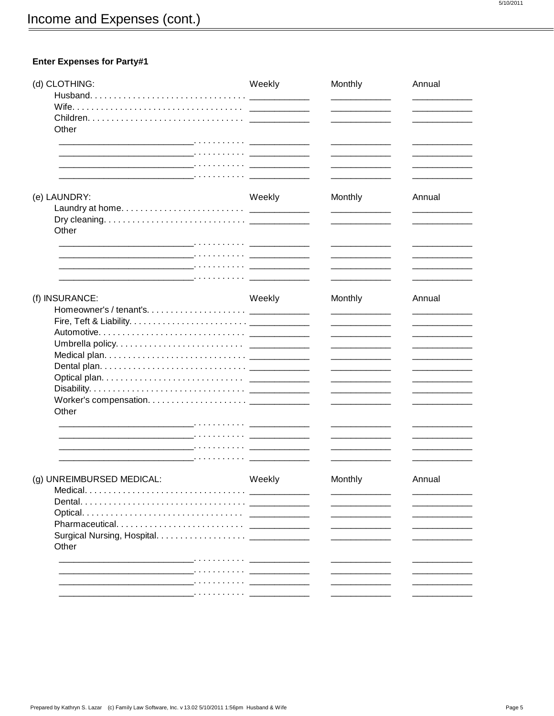| (d) CLOTHING:                                                                                                                                                                                                                  | Weekly | Monthly | Annual |
|--------------------------------------------------------------------------------------------------------------------------------------------------------------------------------------------------------------------------------|--------|---------|--------|
|                                                                                                                                                                                                                                |        |         |        |
|                                                                                                                                                                                                                                |        |         |        |
|                                                                                                                                                                                                                                |        |         |        |
| Other                                                                                                                                                                                                                          |        |         |        |
| the company of the company of the company of                                                                                                                                                                                   |        |         |        |
|                                                                                                                                                                                                                                |        |         |        |
|                                                                                                                                                                                                                                |        |         |        |
|                                                                                                                                                                                                                                |        |         |        |
| (e) LAUNDRY:                                                                                                                                                                                                                   | Weekly | Monthly | Annual |
|                                                                                                                                                                                                                                |        |         |        |
|                                                                                                                                                                                                                                |        |         |        |
| Other                                                                                                                                                                                                                          |        |         |        |
| the contract of the contract of the contract of the contract of the contract of the contract of the contract of the contract of the contract of the contract of the contract of the contract of the contract of the contract o |        |         |        |
| the contract of the contract of the contract of                                                                                                                                                                                |        |         |        |
|                                                                                                                                                                                                                                |        |         |        |
| <u> 1980 - Jan James Alexandro III e a contra a la c</u>                                                                                                                                                                       |        |         |        |
| (f) INSURANCE:                                                                                                                                                                                                                 | Weekly | Monthly | Annual |
|                                                                                                                                                                                                                                |        |         |        |
|                                                                                                                                                                                                                                |        |         |        |
|                                                                                                                                                                                                                                |        |         |        |
|                                                                                                                                                                                                                                |        |         |        |
|                                                                                                                                                                                                                                |        |         |        |
|                                                                                                                                                                                                                                |        |         |        |
|                                                                                                                                                                                                                                |        |         |        |
|                                                                                                                                                                                                                                |        |         |        |
|                                                                                                                                                                                                                                |        |         |        |
|                                                                                                                                                                                                                                |        |         |        |
| Other                                                                                                                                                                                                                          |        |         |        |
|                                                                                                                                                                                                                                |        |         |        |
| the contract of the contract of the contract of the contract of the contract of the contract of the contract of                                                                                                                |        |         |        |
| the control of the control of the control of                                                                                                                                                                                   |        |         |        |
|                                                                                                                                                                                                                                |        |         |        |
| (g) UNREIMBURSED MEDICAL:                                                                                                                                                                                                      | Weekly | Monthly | Annual |
|                                                                                                                                                                                                                                |        |         |        |
|                                                                                                                                                                                                                                |        |         |        |
|                                                                                                                                                                                                                                |        |         |        |
|                                                                                                                                                                                                                                |        |         |        |
|                                                                                                                                                                                                                                |        |         |        |
| Other                                                                                                                                                                                                                          |        |         |        |
|                                                                                                                                                                                                                                |        |         |        |
|                                                                                                                                                                                                                                |        |         |        |
|                                                                                                                                                                                                                                |        |         |        |
|                                                                                                                                                                                                                                |        |         |        |
|                                                                                                                                                                                                                                |        |         |        |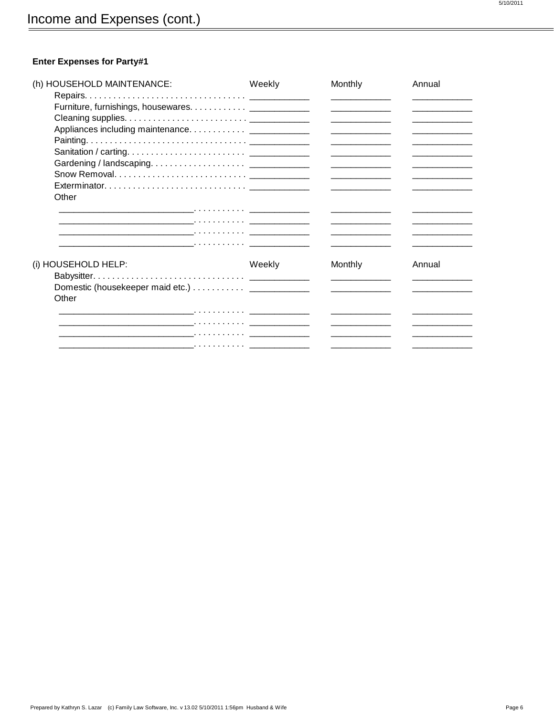| (h) HOUSEHOLD MAINTENANCE:                                                                                      | Weekly                                       | Monthly        | Annual |
|-----------------------------------------------------------------------------------------------------------------|----------------------------------------------|----------------|--------|
|                                                                                                                 |                                              |                |        |
|                                                                                                                 |                                              |                |        |
|                                                                                                                 |                                              |                |        |
|                                                                                                                 |                                              |                |        |
|                                                                                                                 |                                              |                |        |
|                                                                                                                 |                                              |                |        |
|                                                                                                                 |                                              |                |        |
|                                                                                                                 |                                              |                |        |
|                                                                                                                 |                                              |                |        |
| Other                                                                                                           |                                              |                |        |
| the contract of the contract of the contract of the contract of the contract of the contract of the contract of |                                              |                |        |
| the contract of the contract of the contract of the contract of the contract of the contract of the contract of |                                              |                |        |
|                                                                                                                 | and the control of the control of            |                |        |
|                                                                                                                 |                                              |                |        |
|                                                                                                                 |                                              |                |        |
| (i) HOUSEHOLD HELP:                                                                                             | Weekly                                       | <b>Monthly</b> | Annual |
|                                                                                                                 |                                              |                |        |
|                                                                                                                 |                                              |                |        |
| Other                                                                                                           |                                              |                |        |
|                                                                                                                 | the control of the control of the control of |                |        |
|                                                                                                                 |                                              |                |        |
|                                                                                                                 |                                              |                |        |
| .                                                                                                               |                                              |                |        |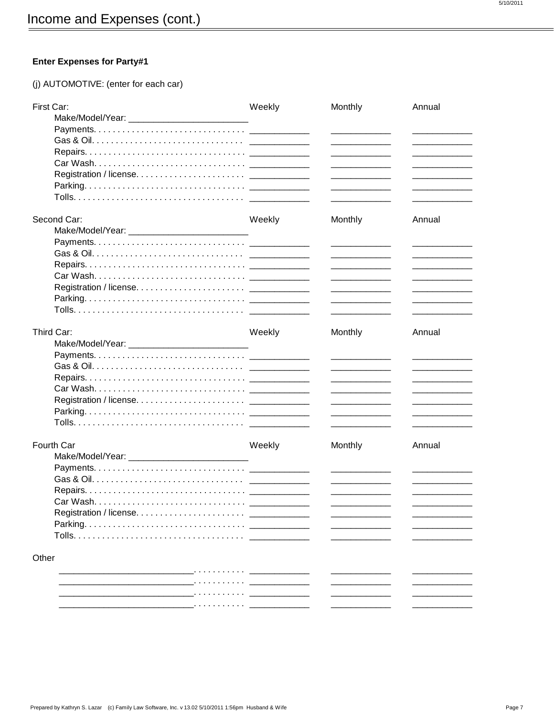(j) AUTOMOTIVE: (enter for each car)

| First Car:  | Weekly | Monthly        | Annual |
|-------------|--------|----------------|--------|
|             |        |                |        |
|             |        |                |        |
|             |        |                |        |
|             |        |                |        |
|             |        |                |        |
|             |        |                |        |
|             |        |                |        |
|             |        |                |        |
| Second Car: | Weekly | Monthly        | Annual |
|             |        |                |        |
|             |        |                |        |
|             |        |                |        |
|             |        |                |        |
|             |        |                |        |
|             |        |                |        |
|             |        |                |        |
|             |        |                |        |
|             |        |                |        |
| Third Car:  | Weekly | Monthly        | Annual |
|             |        |                |        |
|             |        |                |        |
|             |        |                |        |
|             |        |                |        |
|             |        |                |        |
|             |        |                |        |
|             |        |                |        |
|             |        |                |        |
| Fourth Car  | Weekly | <b>Monthly</b> | Annual |
|             |        |                |        |
|             |        |                |        |
|             |        |                |        |
|             |        |                |        |
|             |        |                |        |
|             |        |                |        |
|             |        |                |        |
|             |        |                |        |
| Other       |        |                |        |
|             |        |                |        |
|             |        |                |        |
|             |        |                |        |
|             |        |                |        |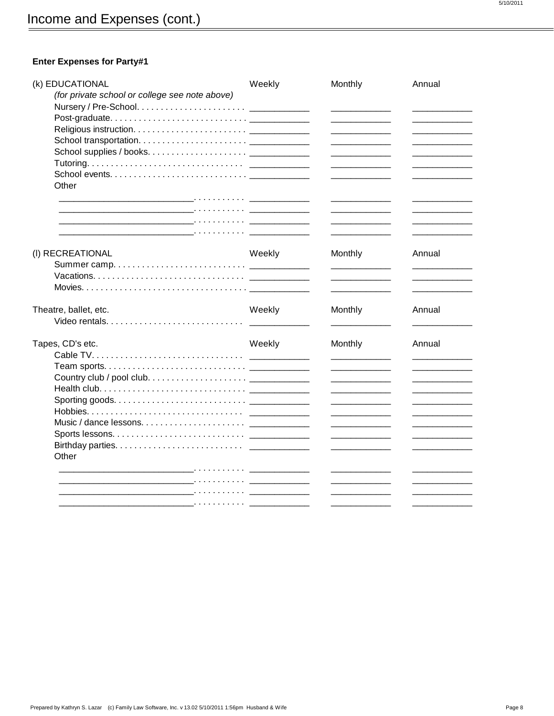| (k) EDUCATIONAL<br>(for private school or college see note above)                                                                                                                                                              | Weekly | Monthly | Annual |
|--------------------------------------------------------------------------------------------------------------------------------------------------------------------------------------------------------------------------------|--------|---------|--------|
|                                                                                                                                                                                                                                |        |         |        |
|                                                                                                                                                                                                                                |        |         |        |
|                                                                                                                                                                                                                                |        |         |        |
|                                                                                                                                                                                                                                |        |         |        |
|                                                                                                                                                                                                                                |        |         |        |
|                                                                                                                                                                                                                                |        |         |        |
|                                                                                                                                                                                                                                |        |         |        |
|                                                                                                                                                                                                                                |        |         |        |
| Other                                                                                                                                                                                                                          |        |         |        |
| the company of the company of the company of                                                                                                                                                                                   |        |         |        |
|                                                                                                                                                                                                                                |        |         |        |
|                                                                                                                                                                                                                                |        |         |        |
|                                                                                                                                                                                                                                |        |         |        |
| (I) RECREATIONAL                                                                                                                                                                                                               | Weekly | Monthly | Annual |
|                                                                                                                                                                                                                                |        |         |        |
|                                                                                                                                                                                                                                |        |         |        |
|                                                                                                                                                                                                                                |        |         |        |
|                                                                                                                                                                                                                                |        |         |        |
| Theatre, ballet, etc.                                                                                                                                                                                                          | Weekly | Monthly | Annual |
|                                                                                                                                                                                                                                |        |         |        |
| Tapes, CD's etc.                                                                                                                                                                                                               | Weekly | Monthly | Annual |
|                                                                                                                                                                                                                                |        |         |        |
|                                                                                                                                                                                                                                |        |         |        |
|                                                                                                                                                                                                                                |        |         |        |
|                                                                                                                                                                                                                                |        |         |        |
|                                                                                                                                                                                                                                |        |         |        |
|                                                                                                                                                                                                                                |        |         |        |
|                                                                                                                                                                                                                                |        |         |        |
|                                                                                                                                                                                                                                |        |         |        |
|                                                                                                                                                                                                                                |        |         |        |
|                                                                                                                                                                                                                                |        |         |        |
| Other                                                                                                                                                                                                                          |        |         |        |
|                                                                                                                                                                                                                                |        |         |        |
|                                                                                                                                                                                                                                |        |         |        |
| the contract of the contract of the contract of                                                                                                                                                                                |        |         |        |
| the contract of the contract of the contract of the contract of the contract of the contract of the contract of the contract of the contract of the contract of the contract of the contract of the contract of the contract o |        |         |        |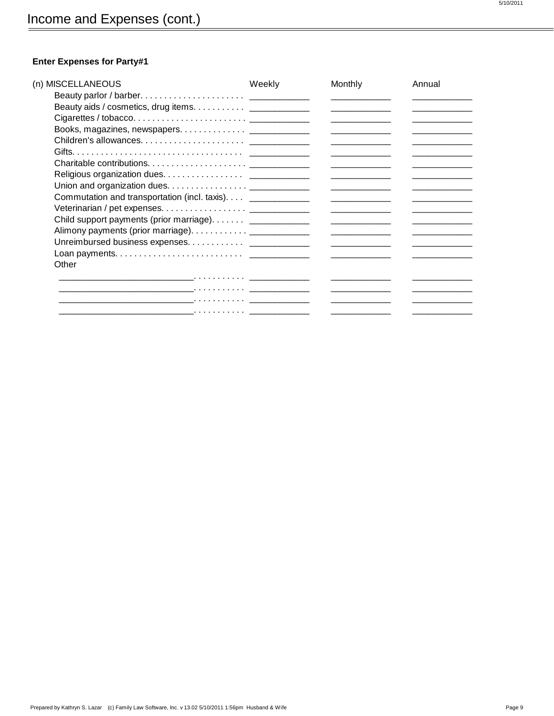| (n) MISCELLANEOUS                                                                                                                                                                                                              | Weekly | Monthly | Annual |
|--------------------------------------------------------------------------------------------------------------------------------------------------------------------------------------------------------------------------------|--------|---------|--------|
|                                                                                                                                                                                                                                |        |         |        |
| Beauty aids / cosmetics, drug items. _______________                                                                                                                                                                           |        |         |        |
|                                                                                                                                                                                                                                |        |         |        |
|                                                                                                                                                                                                                                |        |         |        |
|                                                                                                                                                                                                                                |        |         |        |
|                                                                                                                                                                                                                                |        |         |        |
|                                                                                                                                                                                                                                |        |         |        |
|                                                                                                                                                                                                                                |        |         |        |
|                                                                                                                                                                                                                                |        |         |        |
| Commutation and transportation (incl. taxis). ______________                                                                                                                                                                   |        |         |        |
|                                                                                                                                                                                                                                |        |         |        |
| Child support payments (prior marriage). _______________                                                                                                                                                                       |        |         |        |
|                                                                                                                                                                                                                                |        |         |        |
|                                                                                                                                                                                                                                |        |         |        |
|                                                                                                                                                                                                                                |        |         |        |
| Other                                                                                                                                                                                                                          |        |         |        |
| the contract of the contract of the contract of the contract of the contract of the contract of the contract of                                                                                                                |        |         |        |
| the contract of the contract of the contract of the contract of the contract of the contract of the contract of                                                                                                                |        |         |        |
| the contract of the contract of the contract of the contract of the contract of the contract of the contract of the contract of the contract of the contract of the contract of the contract of the contract of the contract o |        |         |        |
|                                                                                                                                                                                                                                |        |         |        |